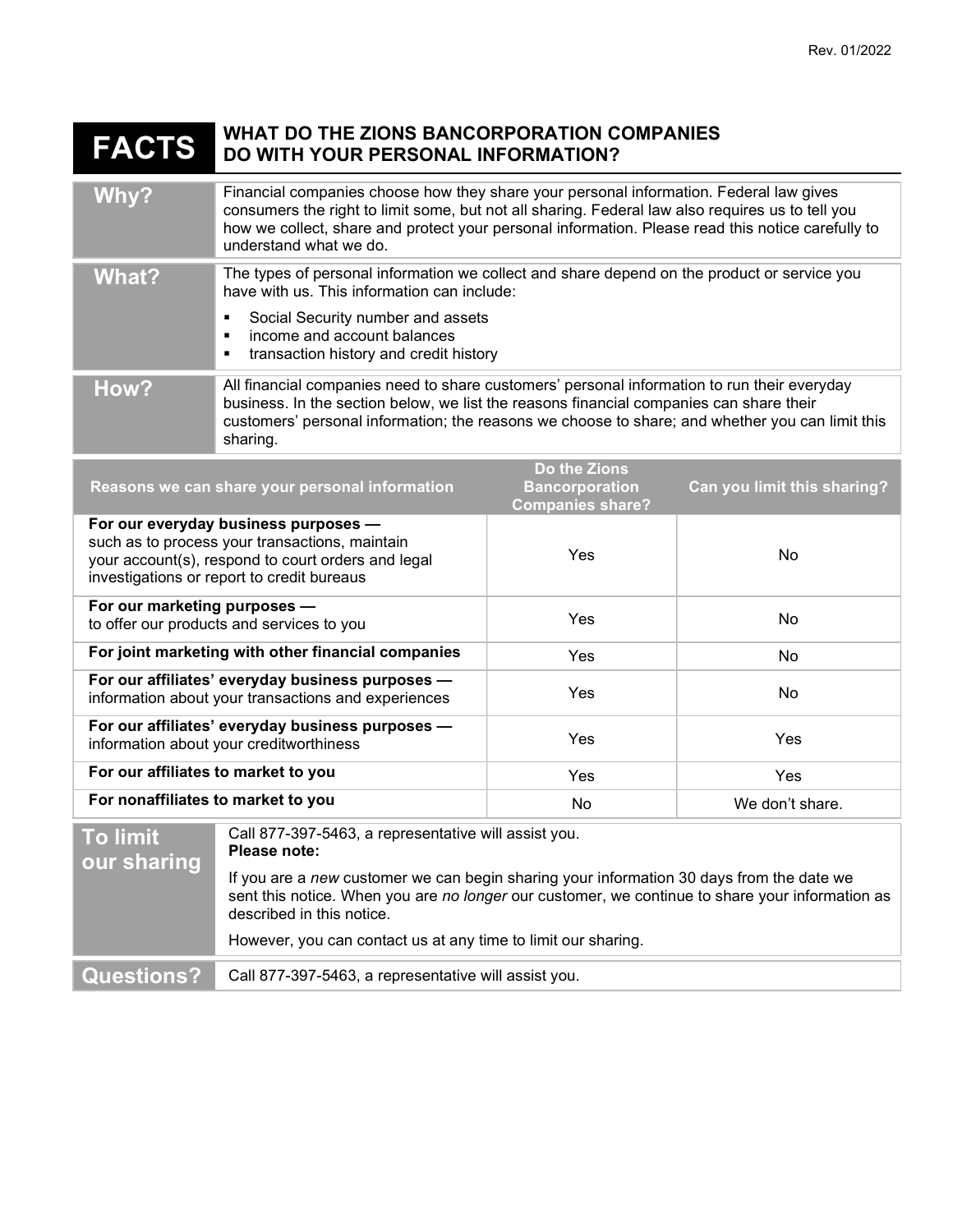## FACTS WHAT DO THE ZIONS BANCORPORATION COMPANIES DO WITH YOUR PERSONAL INFORMATION?

| Why?                                                                                                                                                                                       | Financial companies choose how they share your personal information. Federal law gives<br>consumers the right to limit some, but not all sharing. Federal law also requires us to tell you<br>how we collect, share and protect your personal information. Please read this notice carefully to<br>understand what we do.                                         |                                                                  |                             |
|--------------------------------------------------------------------------------------------------------------------------------------------------------------------------------------------|-------------------------------------------------------------------------------------------------------------------------------------------------------------------------------------------------------------------------------------------------------------------------------------------------------------------------------------------------------------------|------------------------------------------------------------------|-----------------------------|
| <b>What?</b>                                                                                                                                                                               | The types of personal information we collect and share depend on the product or service you<br>have with us. This information can include:<br>Social Security number and assets<br>٠<br>income and account balances<br>п<br>transaction history and credit history                                                                                                |                                                                  |                             |
| How?                                                                                                                                                                                       | All financial companies need to share customers' personal information to run their everyday<br>business. In the section below, we list the reasons financial companies can share their<br>customers' personal information; the reasons we choose to share; and whether you can limit this<br>sharing.                                                             |                                                                  |                             |
| Reasons we can share your personal information                                                                                                                                             |                                                                                                                                                                                                                                                                                                                                                                   | Do the Zions<br><b>Bancorporation</b><br><b>Companies share?</b> | Can you limit this sharing? |
| For our everyday business purposes -<br>such as to process your transactions, maintain<br>your account(s), respond to court orders and legal<br>investigations or report to credit bureaus |                                                                                                                                                                                                                                                                                                                                                                   | Yes                                                              | No                          |
| For our marketing purposes -<br>to offer our products and services to you                                                                                                                  |                                                                                                                                                                                                                                                                                                                                                                   | Yes                                                              | No                          |
| For joint marketing with other financial companies                                                                                                                                         |                                                                                                                                                                                                                                                                                                                                                                   | Yes                                                              | No                          |
| For our affiliates' everyday business purposes -<br>information about your transactions and experiences                                                                                    |                                                                                                                                                                                                                                                                                                                                                                   | Yes                                                              | No                          |
| For our affiliates' everyday business purposes -<br>information about your creditworthiness                                                                                                |                                                                                                                                                                                                                                                                                                                                                                   | Yes                                                              | Yes                         |
| For our affiliates to market to you                                                                                                                                                        |                                                                                                                                                                                                                                                                                                                                                                   | Yes                                                              | Yes                         |
| For nonaffiliates to market to you                                                                                                                                                         |                                                                                                                                                                                                                                                                                                                                                                   | No                                                               | We don't share.             |
| <b>To limit</b><br>our sharing                                                                                                                                                             | Call 877-397-5463, a representative will assist you.<br>Please note:<br>If you are a new customer we can begin sharing your information 30 days from the date we<br>sent this notice. When you are no longer our customer, we continue to share your information as<br>described in this notice.<br>However, you can contact us at any time to limit our sharing. |                                                                  |                             |
| <b>Questions?</b>                                                                                                                                                                          | Call 877-397-5463, a representative will assist you.                                                                                                                                                                                                                                                                                                              |                                                                  |                             |